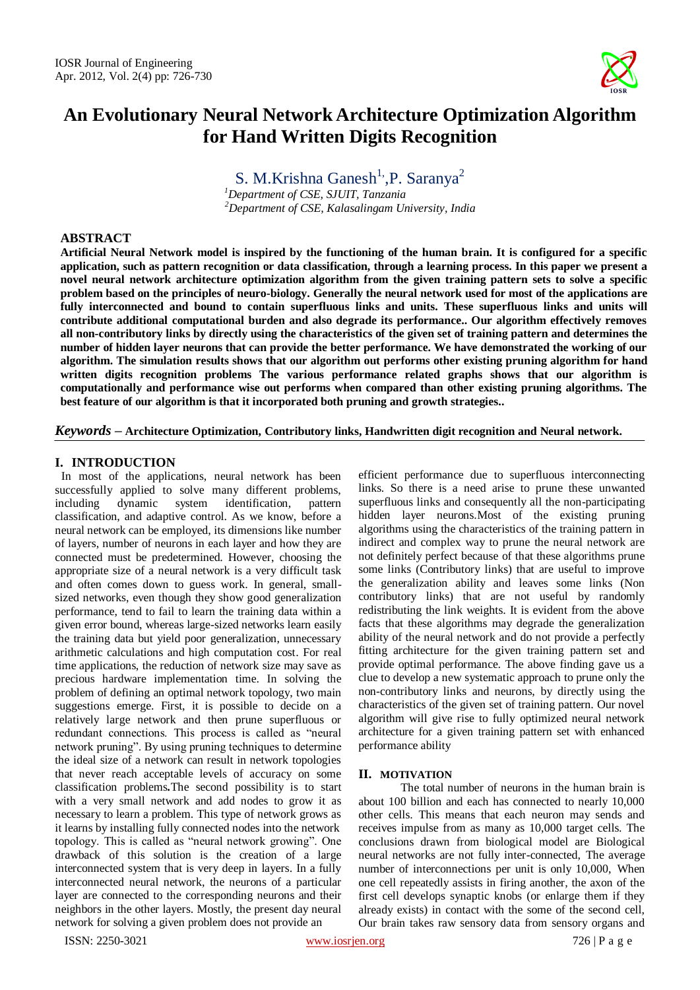

# **An Evolutionary Neural Network Architecture Optimization Algorithm for Hand Written Digits Recognition**

S. M.Krishna Ganesh<sup>1</sup>, P. Saranya<sup>2</sup>

*<sup>1</sup>Department of CSE, SJUIT, Tanzania <sup>2</sup>Department of CSE, Kalasalingam University, India*

## **ABSTRACT**

**Artificial Neural Network model is inspired by the functioning of the human brain. It is configured for a specific application, such as pattern recognition or data classification, through a learning process. In this paper we present a novel neural network architecture optimization algorithm from the given training pattern sets to solve a specific problem based on the principles of neuro-biology. Generally the neural network used for most of the applications are fully interconnected and bound to contain superfluous links and units. These superfluous links and units will contribute additional computational burden and also degrade its performance.. Our algorithm effectively removes all non-contributory links by directly using the characteristics of the given set of training pattern and determines the number of hidden layer neurons that can provide the better performance. We have demonstrated the working of our algorithm. The simulation results shows that our algorithm out performs other existing pruning algorithm for hand written digits recognition problems The various performance related graphs shows that our algorithm is computationally and performance wise out performs when compared than other existing pruning algorithms. The best feature of our algorithm is that it incorporated both pruning and growth strategies..**

*Keywords* **– Architecture Optimization, Contributory links, Handwritten digit recognition and Neural network.**

# **I. INTRODUCTION**

In most of the applications, neural network has been successfully applied to solve many different problems, including dynamic system identification, pattern classification, and adaptive control. As we know, before a neural network can be employed, its dimensions like number of layers, number of neurons in each layer and how they are connected must be predetermined. However, choosing the appropriate size of a neural network is a very difficult task and often comes down to guess work. In general, smallsized networks, even though they show good generalization performance, tend to fail to learn the training data within a given error bound, whereas large-sized networks learn easily the training data but yield poor generalization, unnecessary arithmetic calculations and high computation cost. For real time applications, the reduction of network size may save as precious hardware implementation time. In solving the problem of defining an optimal network topology, two main suggestions emerge. First, it is possible to decide on a relatively large network and then prune superfluous or redundant connections. This process is called as "neural network pruning". By using pruning techniques to determine the ideal size of a network can result in network topologies that never reach acceptable levels of accuracy on some classification problems*.*The second possibility is to start with a very small network and add nodes to grow it as necessary to learn a problem. This type of network grows as it learns by installing fully connected nodes into the network topology. This is called as "neural network growing". One drawback of this solution is the creation of a large interconnected system that is very deep in layers. In a fully interconnected neural network, the neurons of a particular layer are connected to the corresponding neurons and their neighbors in the other layers. Mostly, the present day neural network for solving a given problem does not provide an

efficient performance due to superfluous interconnecting links. So there is a need arise to prune these unwanted superfluous links and consequently all the non-participating hidden layer neurons.Most of the existing pruning algorithms using the characteristics of the training pattern in indirect and complex way to prune the neural network are not definitely perfect because of that these algorithms prune some links (Contributory links) that are useful to improve the generalization ability and leaves some links (Non contributory links) that are not useful by randomly redistributing the link weights. It is evident from the above facts that these algorithms may degrade the generalization ability of the neural network and do not provide a perfectly fitting architecture for the given training pattern set and provide optimal performance. The above finding gave us a clue to develop a new systematic approach to prune only the non-contributory links and neurons, by directly using the characteristics of the given set of training pattern. Our novel algorithm will give rise to fully optimized neural network architecture for a given training pattern set with enhanced performance ability

# **II. MOTIVATION**

The total number of neurons in the human brain is about 100 billion and each has connected to nearly 10,000 other cells. This means that each neuron may sends and receives impulse from as many as 10,000 target cells. The conclusions drawn from biological model are Biological neural networks are not fully inter-connected, The average number of interconnections per unit is only 10,000, When one cell repeatedly assists in firing another, the axon of the first cell develops synaptic knobs (or enlarge them if they already exists) in contact with the some of the second cell, Our brain takes raw sensory data from sensory organs and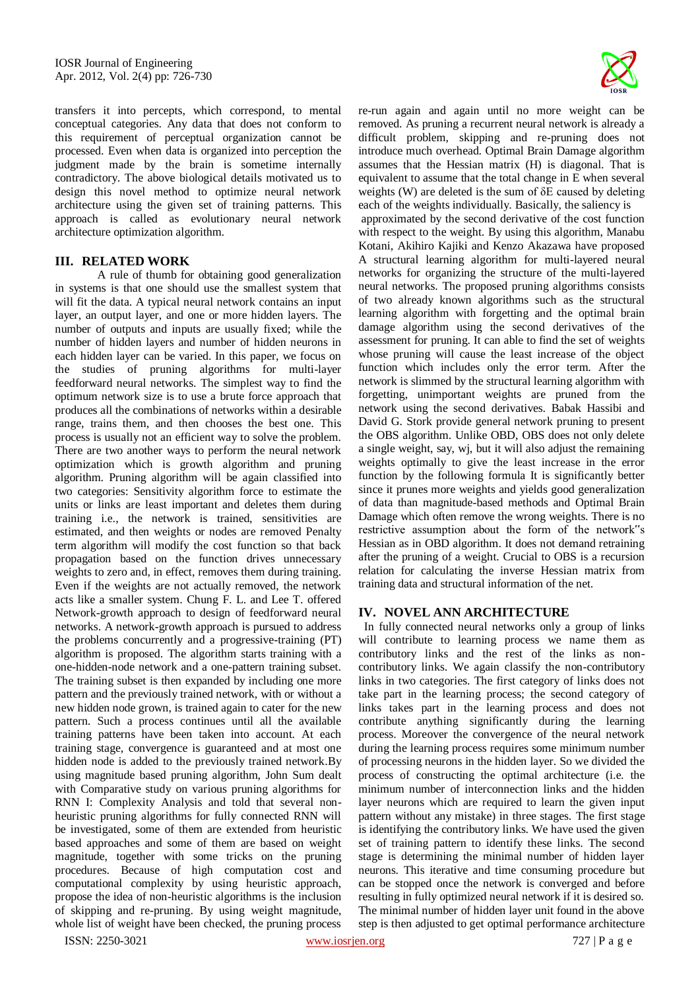transfers it into percepts, which correspond, to mental conceptual categories. Any data that does not conform to this requirement of perceptual organization cannot be processed. Even when data is organized into perception the judgment made by the brain is sometime internally contradictory. The above biological details motivated us to design this novel method to optimize neural network architecture using the given set of training patterns. This approach is called as evolutionary neural network architecture optimization algorithm.

# **III. RELATED WORK**

A rule of thumb for obtaining good generalization in systems is that one should use the smallest system that will fit the data. A typical neural network contains an input layer, an output layer, and one or more hidden layers. The number of outputs and inputs are usually fixed; while the number of hidden layers and number of hidden neurons in each hidden layer can be varied. In this paper, we focus on the studies of pruning algorithms for multi-layer feedforward neural networks. The simplest way to find the optimum network size is to use a brute force approach that produces all the combinations of networks within a desirable range, trains them, and then chooses the best one. This process is usually not an efficient way to solve the problem. There are two another ways to perform the neural network optimization which is growth algorithm and pruning algorithm. Pruning algorithm will be again classified into two categories: Sensitivity algorithm force to estimate the units or links are least important and deletes them during training i.e., the network is trained, sensitivities are estimated, and then weights or nodes are removed Penalty term algorithm will modify the cost function so that back propagation based on the function drives unnecessary weights to zero and, in effect, removes them during training. Even if the weights are not actually removed, the network acts like a smaller system. Chung F. L. and Lee T. offered Network-growth approach to design of feedforward neural networks. A network-growth approach is pursued to address the problems concurrently and a progressive-training (PT) algorithm is proposed. The algorithm starts training with a one-hidden-node network and a one-pattern training subset. The training subset is then expanded by including one more pattern and the previously trained network, with or without a new hidden node grown, is trained again to cater for the new pattern. Such a process continues until all the available training patterns have been taken into account. At each training stage, convergence is guaranteed and at most one hidden node is added to the previously trained network.By using magnitude based pruning algorithm, John Sum dealt with Comparative study on various pruning algorithms for RNN I: Complexity Analysis and told that several nonheuristic pruning algorithms for fully connected RNN will be investigated, some of them are extended from heuristic based approaches and some of them are based on weight magnitude, together with some tricks on the pruning procedures. Because of high computation cost and computational complexity by using heuristic approach, propose the idea of non-heuristic algorithms is the inclusion of skipping and re-pruning. By using weight magnitude, whole list of weight have been checked, the pruning process



re-run again and again until no more weight can be removed. As pruning a recurrent neural network is already a difficult problem, skipping and re-pruning does not introduce much overhead. Optimal Brain Damage algorithm assumes that the Hessian matrix (H) is diagonal. That is equivalent to assume that the total change in E when several weights (W) are deleted is the sum of δE caused by deleting each of the weights individually. Basically, the saliency is

approximated by the second derivative of the cost function with respect to the weight. By using this algorithm, Manabu Kotani, Akihiro Kajiki and Kenzo Akazawa have proposed A structural learning algorithm for multi-layered neural networks for organizing the structure of the multi-layered neural networks. The proposed pruning algorithms consists of two already known algorithms such as the structural learning algorithm with forgetting and the optimal brain damage algorithm using the second derivatives of the assessment for pruning. It can able to find the set of weights whose pruning will cause the least increase of the object function which includes only the error term. After the network is slimmed by the structural learning algorithm with forgetting, unimportant weights are pruned from the network using the second derivatives. Babak Hassibi and David G. Stork provide general network pruning to present the OBS algorithm. Unlike OBD, OBS does not only delete a single weight, say, wj, but it will also adjust the remaining weights optimally to give the least increase in the error function by the following formula It is significantly better since it prunes more weights and yields good generalization of data than magnitude-based methods and Optimal Brain Damage which often remove the wrong weights. There is no restrictive assumption about the form of the network"s Hessian as in OBD algorithm. It does not demand retraining after the pruning of a weight. Crucial to OBS is a recursion relation for calculating the inverse Hessian matrix from training data and structural information of the net.

### **IV. NOVEL ANN ARCHITECTURE**

 In fully connected neural networks only a group of links will contribute to learning process we name them as contributory links and the rest of the links as noncontributory links. We again classify the non-contributory links in two categories. The first category of links does not take part in the learning process; the second category of links takes part in the learning process and does not contribute anything significantly during the learning process. Moreover the convergence of the neural network during the learning process requires some minimum number of processing neurons in the hidden layer. So we divided the process of constructing the optimal architecture (i.e. the minimum number of interconnection links and the hidden layer neurons which are required to learn the given input pattern without any mistake) in three stages. The first stage is identifying the contributory links. We have used the given set of training pattern to identify these links. The second stage is determining the minimal number of hidden layer neurons. This iterative and time consuming procedure but can be stopped once the network is converged and before resulting in fully optimized neural network if it is desired so. The minimal number of hidden layer unit found in the above step is then adjusted to get optimal performance architecture

ISSN: 2250-3021 www.iosrjen.org 727 | P a g e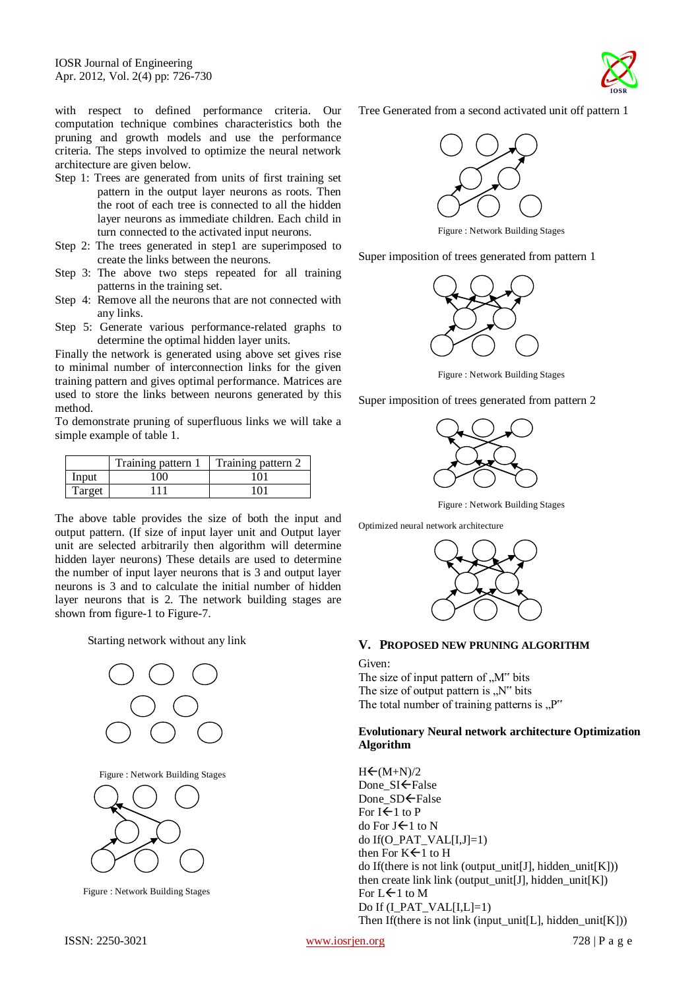with respect to defined performance criteria. Our computation technique combines characteristics both the pruning and growth models and use the performance criteria. The steps involved to optimize the neural network architecture are given below.

- Step 1: Trees are generated from units of first training set pattern in the output layer neurons as roots. Then the root of each tree is connected to all the hidden layer neurons as immediate children. Each child in turn connected to the activated input neurons.
- Step 2: The trees generated in step1 are superimposed to create the links between the neurons.
- Step 3: The above two steps repeated for all training patterns in the training set.
- Step 4: Remove all the neurons that are not connected with any links.
- Step 5: Generate various performance-related graphs to determine the optimal hidden layer units.

Finally the network is generated using above set gives rise to minimal number of interconnection links for the given training pattern and gives optimal performance. Matrices are used to store the links between neurons generated by this method.

To demonstrate pruning of superfluous links we will take a simple example of table 1.

|        | Training pattern 1 | Training pattern 2 |
|--------|--------------------|--------------------|
| Input  | 100                | 101                |
| Target | -111               | 101                |

The above table provides the size of both the input and output pattern. (If size of input layer unit and Output layer unit are selected arbitrarily then algorithm will determine hidden layer neurons) These details are used to determine the number of input layer neurons that is 3 and output layer neurons is 3 and to calculate the initial number of hidden layer neurons that is 2. The network building stages are shown from figure-1 to Figure-7.

Starting network without any link



Figure : Network Building Stages



Figure : Network Building Stages



Tree Generated from a second activated unit off pattern 1



Figure : Network Building Stages

Super imposition of trees generated from pattern 1



Figure : Network Building Stages

Super imposition of trees generated from pattern 2



Figure : Network Building Stages

Optimized neural network architecture



# **V. PROPOSED NEW PRUNING ALGORITHM**

Given:

The size of input pattern of  $\mathcal{M}^{\prime\prime}$  bits The size of output pattern is  $N''$  bits The total number of training patterns is  $P''$ 

## **Evolutionary Neural network architecture Optimization Algorithm**

 $H \leftarrow (M+N)/2$ Done\_SI<sup>←</sup>False Done SD<del>C</del>False For  $I \leftarrow 1$  to P do For  $J \leftarrow 1$  to N do If(O\_PAT\_VAL[I,J]=1) then For  $K\leftarrow 1$  to H do If(there is not link (output\_unit[J], hidden\_unit[K])) then create link link (output\_unit[J], hidden\_unit[K]) For  $L \leftarrow 1$  to M Do If (I\_PAT\_VAL[I,L]=1) Then If(there is not link (input\_unit[L], hidden\_unit[K]))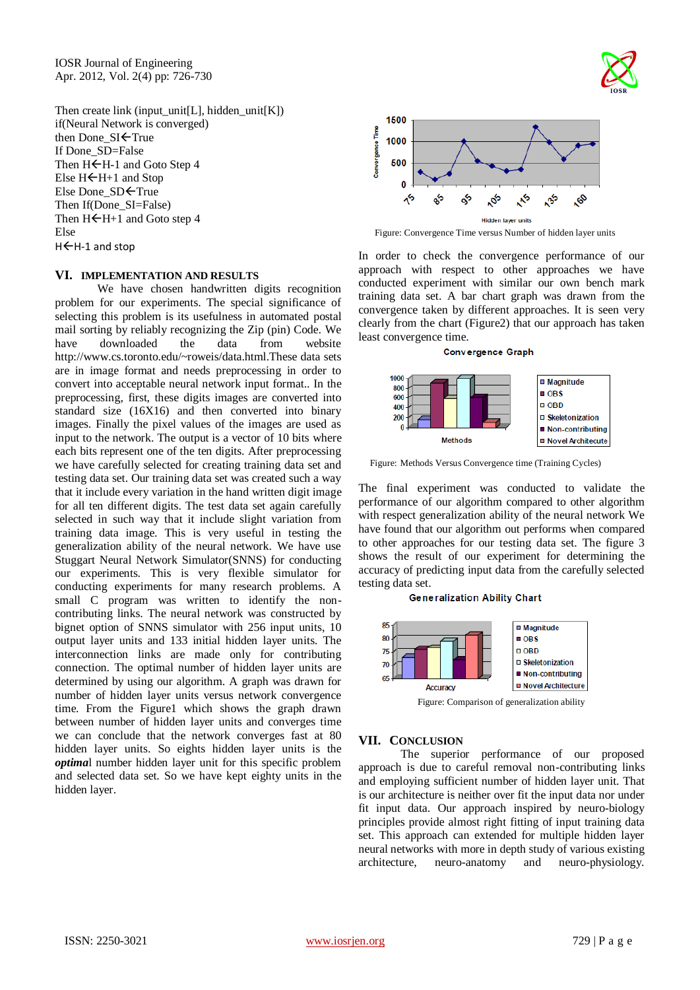IOSR Journal of Engineering Apr. 2012, Vol. 2(4) pp: 726-730

Then create link (input\_unit[L], hidden\_unit[K]) if(Neural Network is converged) then Done  $SI \leftarrow True$ If Done\_SD=False Then  $H \leftarrow H$ -1 and Goto Step 4 Else  $H \leftarrow H+1$  and Stop Else Done SD<sup>E</sup>True Then If(Done\_SI=False) Then  $H \leftarrow H + 1$  and Goto step 4 Else H←H-1 and stop

# **VI. IMPLEMENTATION AND RESULTS**

We have chosen handwritten digits recognition problem for our experiments. The special significance of selecting this problem is its usefulness in automated postal mail sorting by reliably recognizing the Zip (pin) Code. We have downloaded the data from website http://www.cs.toronto.edu/~roweis/data.html.These data sets are in image format and needs preprocessing in order to convert into acceptable neural network input format.. In the preprocessing, first, these digits images are converted into standard size (16X16) and then converted into binary images. Finally the pixel values of the images are used as input to the network. The output is a vector of 10 bits where each bits represent one of the ten digits. After preprocessing we have carefully selected for creating training data set and testing data set. Our training data set was created such a way that it include every variation in the hand written digit image for all ten different digits. The test data set again carefully selected in such way that it include slight variation from training data image. This is very useful in testing the generalization ability of the neural network. We have use Stuggart Neural Network Simulator(SNNS) for conducting our experiments. This is very flexible simulator for conducting experiments for many research problems. A small C program was written to identify the noncontributing links. The neural network was constructed by bignet option of SNNS simulator with 256 input units, 10 output layer units and 133 initial hidden layer units. The interconnection links are made only for contributing connection. The optimal number of hidden layer units are determined by using our algorithm. A graph was drawn for number of hidden layer units versus network convergence time. From the Figure1 which shows the graph drawn between number of hidden layer units and converges time we can conclude that the network converges fast at 80 hidden layer units. So eights hidden layer units is the *optima*l number hidden layer unit for this specific problem and selected data set. So we have kept eighty units in the hidden layer.



Figure: Convergence Time versus Number of hidden layer units

In order to check the convergence performance of our approach with respect to other approaches we have conducted experiment with similar our own bench mark training data set. A bar chart graph was drawn from the convergence taken by different approaches. It is seen very clearly from the chart (Figure2) that our approach has taken least convergence time.

#### **Convergence Graph**



Figure: Methods Versus Convergence time (Training Cycles)

The final experiment was conducted to validate the performance of our algorithm compared to other algorithm with respect generalization ability of the neural network We have found that our algorithm out performs when compared to other approaches for our testing data set. The figure 3 shows the result of our experiment for determining the accuracy of predicting input data from the carefully selected testing data set.

#### **Generalization Ability Chart**



Figure: Comparison of generalization ability

### **VII. CONCLUSION**

The superior performance of our proposed approach is due to careful removal non-contributing links and employing sufficient number of hidden layer unit. That is our architecture is neither over fit the input data nor under fit input data. Our approach inspired by neuro-biology principles provide almost right fitting of input training data set. This approach can extended for multiple hidden layer neural networks with more in depth study of various existing architecture, neuro-anatomy and neuro-physiology.